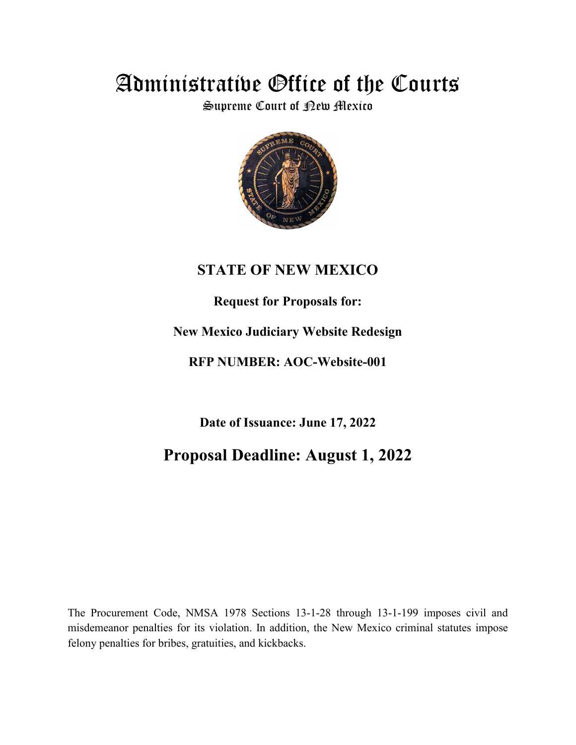# Administrative Office of the Courts

Supreme Court of <sub>Rew Mexico</sub>



## **STATE OF NEW MEXICO**

### **Request for Proposals for:**

## **New Mexico Judiciary Website Redesign**

## **RFP NUMBER: AOC-Website-001**

**Date of Issuance: June 17, 2022**

## **Proposal Deadline: August 1, 2022**

The Procurement Code, NMSA 1978 Sections 13-1-28 through 13-1-199 imposes civil and misdemeanor penalties for its violation. In addition, the New Mexico criminal statutes impose felony penalties for bribes, gratuities, and kickbacks.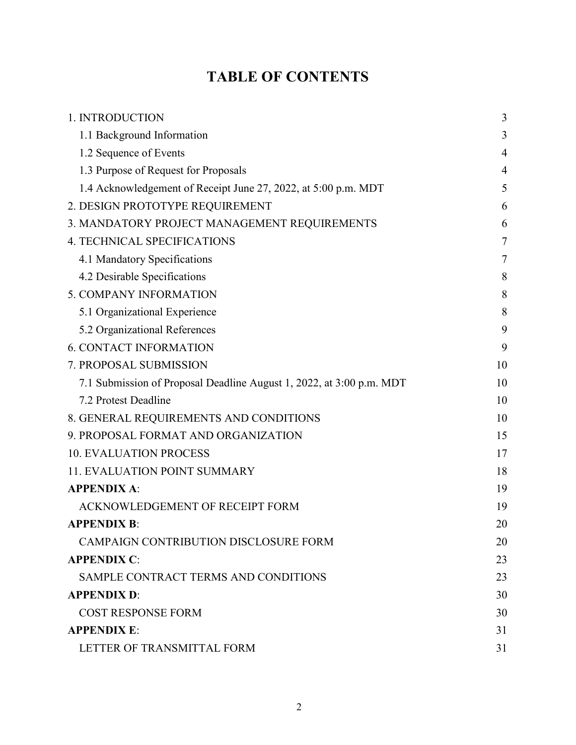# **TABLE OF CONTENTS**

| 1. INTRODUCTION                                                      | 3              |
|----------------------------------------------------------------------|----------------|
| 1.1 Background Information                                           | 3              |
| 1.2 Sequence of Events                                               | $\overline{4}$ |
| 1.3 Purpose of Request for Proposals                                 | $\overline{4}$ |
| 1.4 Acknowledgement of Receipt June 27, 2022, at 5:00 p.m. MDT       | 5              |
| 2. DESIGN PROTOTYPE REQUIREMENT                                      | 6              |
| 3. MANDATORY PROJECT MANAGEMENT REQUIREMENTS                         | 6              |
| <b>4. TECHNICAL SPECIFICATIONS</b>                                   | 7              |
| 4.1 Mandatory Specifications                                         | 7              |
| 4.2 Desirable Specifications                                         | 8              |
| 5. COMPANY INFORMATION                                               | 8              |
| 5.1 Organizational Experience                                        | 8              |
| 5.2 Organizational References                                        | 9              |
| <b>6. CONTACT INFORMATION</b>                                        | 9              |
| 7. PROPOSAL SUBMISSION                                               | 10             |
| 7.1 Submission of Proposal Deadline August 1, 2022, at 3:00 p.m. MDT | 10             |
| 7.2 Protest Deadline                                                 | 10             |
| 8. GENERAL REQUIREMENTS AND CONDITIONS                               | 10             |
| 9. PROPOSAL FORMAT AND ORGANIZATION                                  | 15             |
| <b>10. EVALUATION PROCESS</b>                                        | 17             |
| <b>11. EVALUATION POINT SUMMARY</b>                                  | 18             |
| <b>APPENDIX A:</b>                                                   | 19             |
| ACKNOWLEDGEMENT OF RECEIPT FORM                                      | 19             |
| <b>APPENDIX B:</b>                                                   | 20             |
| <b>CAMPAIGN CONTRIBUTION DISCLOSURE FORM</b>                         | 20             |
| <b>APPENDIX C:</b>                                                   | 23             |
| SAMPLE CONTRACT TERMS AND CONDITIONS                                 | 23             |
| <b>APPENDIX D:</b>                                                   | 30             |
| <b>COST RESPONSE FORM</b>                                            | 30             |
| <b>APPENDIX E:</b>                                                   | 31             |
| LETTER OF TRANSMITTAL FORM                                           | 31             |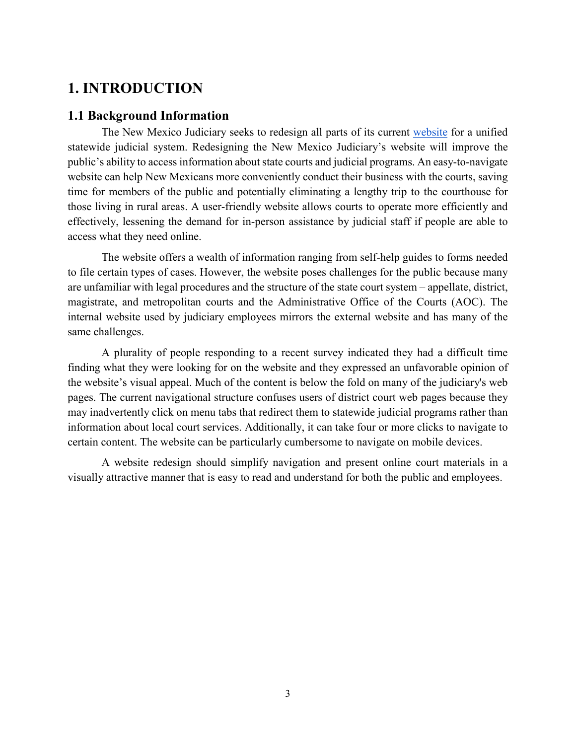### <span id="page-2-0"></span>**1. INTRODUCTION**

#### <span id="page-2-1"></span>**1.1 Background Information**

The New Mexico Judiciary seeks to redesign all parts of its current [website](https://www.nmcourts.gov/) for a unified statewide judicial system. Redesigning the New Mexico Judiciary's website will improve the public's ability to access information about state courts and judicial programs. An easy-to-navigate website can help New Mexicans more conveniently conduct their business with the courts, saving time for members of the public and potentially eliminating a lengthy trip to the courthouse for those living in rural areas. A user-friendly website allows courts to operate more efficiently and effectively, lessening the demand for in-person assistance by judicial staff if people are able to access what they need online.

The website offers a wealth of information ranging from self-help guides to forms needed to file certain types of cases. However, the website poses challenges for the public because many are unfamiliar with legal procedures and the structure of the state court system – appellate, district, magistrate, and metropolitan courts and the Administrative Office of the Courts (AOC). The internal website used by judiciary employees mirrors the external website and has many of the same challenges.

A plurality of people responding to a recent survey indicated they had a difficult time finding what they were looking for on the website and they expressed an unfavorable opinion of the website's visual appeal. Much of the content is below the fold on many of the judiciary's web pages. The current navigational structure confuses users of district court web pages because they may inadvertently click on menu tabs that redirect them to statewide judicial programs rather than information about local court services. Additionally, it can take four or more clicks to navigate to certain content. The website can be particularly cumbersome to navigate on mobile devices.

A website redesign should simplify navigation and present online court materials in a visually attractive manner that is easy to read and understand for both the public and employees.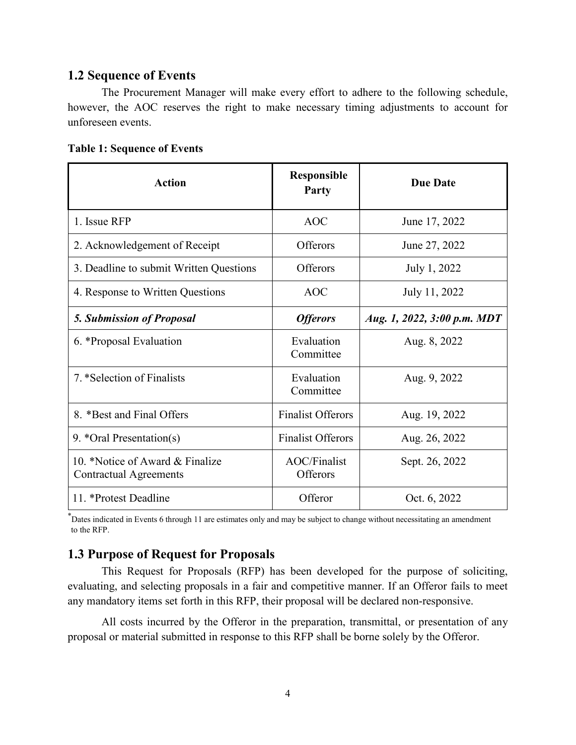### <span id="page-3-0"></span>**1.2 Sequence of Events**

The Procurement Manager will make every effort to adhere to the following schedule, however, the AOC reserves the right to make necessary timing adjustments to account for unforeseen events.

| <b>Action</b>                                                    | Responsible<br><b>Party</b>     | <b>Due Date</b>             |
|------------------------------------------------------------------|---------------------------------|-----------------------------|
| 1. Issue RFP                                                     | <b>AOC</b>                      | June 17, 2022               |
| 2. Acknowledgement of Receipt                                    | <b>Offerors</b>                 | June 27, 2022               |
| 3. Deadline to submit Written Questions                          | <b>Offerors</b>                 | July 1, 2022                |
| 4. Response to Written Questions                                 | <b>AOC</b>                      | July 11, 2022               |
| <b>5. Submission of Proposal</b>                                 | <b>Offerors</b>                 | Aug. 1, 2022, 3:00 p.m. MDT |
| 6. *Proposal Evaluation                                          | Evaluation<br>Committee         | Aug. 8, 2022                |
| 7. *Selection of Finalists                                       | Evaluation<br>Committee         | Aug. 9, 2022                |
| 8. *Best and Final Offers                                        | <b>Finalist Offerors</b>        | Aug. 19, 2022               |
| 9. *Oral Presentation(s)                                         | <b>Finalist Offerors</b>        | Aug. 26, 2022               |
| 10. *Notice of Award & Finalize<br><b>Contractual Agreements</b> | <b>AOC/Finalist</b><br>Offerors | Sept. 26, 2022              |
| 11. *Protest Deadline                                            | Offeror                         | Oct. 6, 2022                |

#### **Table 1: Sequence of Events**

\* Dates indicated in Events 6 through 11 are estimates only and may be subject to change without necessitating an amendment to the RFP.

### <span id="page-3-1"></span>**1.3 Purpose of Request for Proposals**

This Request for Proposals (RFP) has been developed for the purpose of soliciting, evaluating, and selecting proposals in a fair and competitive manner. If an Offeror fails to meet any mandatory items set forth in this RFP, their proposal will be declared non-responsive.

All costs incurred by the Offeror in the preparation, transmittal, or presentation of any proposal or material submitted in response to this RFP shall be borne solely by the Offeror.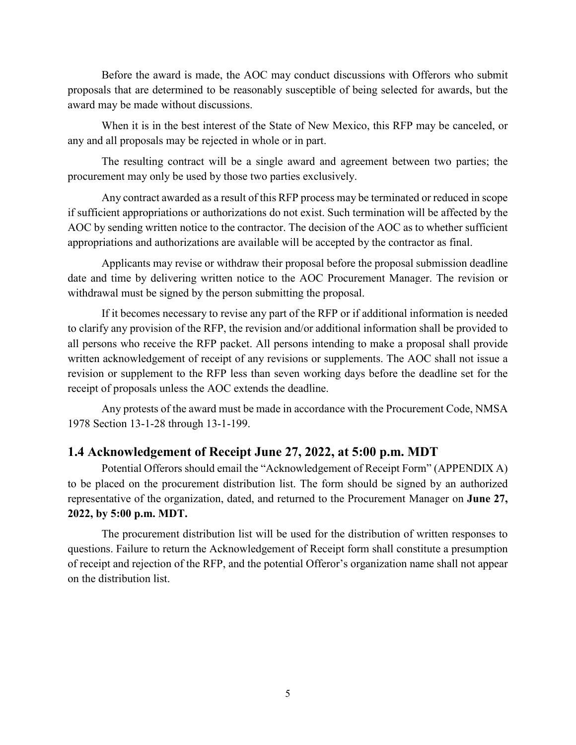Before the award is made, the AOC may conduct discussions with Offerors who submit proposals that are determined to be reasonably susceptible of being selected for awards, but the award may be made without discussions.

When it is in the best interest of the State of New Mexico, this RFP may be canceled, or any and all proposals may be rejected in whole or in part.

The resulting contract will be a single award and agreement between two parties; the procurement may only be used by those two parties exclusively.

Any contract awarded as a result of this RFP process may be terminated or reduced in scope if sufficient appropriations or authorizations do not exist. Such termination will be affected by the AOC by sending written notice to the contractor. The decision of the AOC as to whether sufficient appropriations and authorizations are available will be accepted by the contractor as final.

Applicants may revise or withdraw their proposal before the proposal submission deadline date and time by delivering written notice to the AOC Procurement Manager. The revision or withdrawal must be signed by the person submitting the proposal.

If it becomes necessary to revise any part of the RFP or if additional information is needed to clarify any provision of the RFP, the revision and/or additional information shall be provided to all persons who receive the RFP packet. All persons intending to make a proposal shall provide written acknowledgement of receipt of any revisions or supplements. The AOC shall not issue a revision or supplement to the RFP less than seven working days before the deadline set for the receipt of proposals unless the AOC extends the deadline.

Any protests of the award must be made in accordance with the Procurement Code, NMSA 1978 Section 13-1-28 through 13-1-199.

#### <span id="page-4-0"></span>**1.4 Acknowledgement of Receipt June 27, 2022, at 5:00 p.m. MDT**

Potential Offerors should email the "Acknowledgement of Receipt Form" (APPENDIX A) to be placed on the procurement distribution list. The form should be signed by an authorized representative of the organization, dated, and returned to the Procurement Manager on **June 27, 2022, by 5:00 p.m. MDT.**

The procurement distribution list will be used for the distribution of written responses to questions. Failure to return the Acknowledgement of Receipt form shall constitute a presumption of receipt and rejection of the RFP, and the potential Offeror's organization name shall not appear on the distribution list.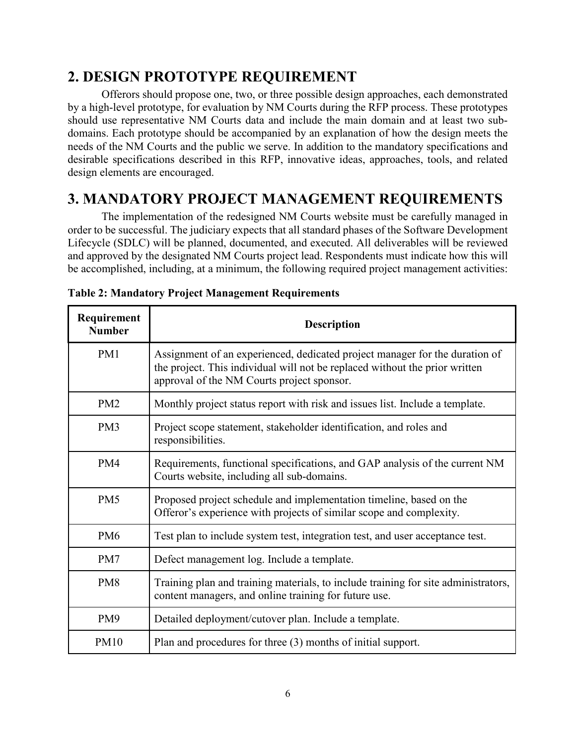## <span id="page-5-0"></span>**2. DESIGN PROTOTYPE REQUIREMENT**

Offerors should propose one, two, or three possible design approaches, each demonstrated by a high-level prototype, for evaluation by NM Courts during the RFP process. These prototypes should use representative NM Courts data and include the main domain and at least two subdomains. Each prototype should be accompanied by an explanation of how the design meets the needs of the NM Courts and the public we serve. In addition to the mandatory specifications and desirable specifications described in this RFP, innovative ideas, approaches, tools, and related design elements are encouraged.

## <span id="page-5-1"></span>**3. MANDATORY PROJECT MANAGEMENT REQUIREMENTS**

The implementation of the redesigned NM Courts website must be carefully managed in order to be successful. The judiciary expects that all standard phases of the Software Development Lifecycle (SDLC) will be planned, documented, and executed. All deliverables will be reviewed and approved by the designated NM Courts project lead. Respondents must indicate how this will be accomplished, including, at a minimum, the following required project management activities:

| Requirement<br><b>Number</b> | <b>Description</b>                                                                                                                                                                                       |  |
|------------------------------|----------------------------------------------------------------------------------------------------------------------------------------------------------------------------------------------------------|--|
| PM1                          | Assignment of an experienced, dedicated project manager for the duration of<br>the project. This individual will not be replaced without the prior written<br>approval of the NM Courts project sponsor. |  |
| PM <sub>2</sub>              | Monthly project status report with risk and issues list. Include a template.                                                                                                                             |  |
| PM3                          | Project scope statement, stakeholder identification, and roles and<br>responsibilities.                                                                                                                  |  |
| PM4                          | Requirements, functional specifications, and GAP analysis of the current NM<br>Courts website, including all sub-domains.                                                                                |  |
| PM <sub>5</sub>              | Proposed project schedule and implementation timeline, based on the<br>Offeror's experience with projects of similar scope and complexity.                                                               |  |
| PM <sub>6</sub>              | Test plan to include system test, integration test, and user acceptance test.                                                                                                                            |  |
| PM7                          | Defect management log. Include a template.                                                                                                                                                               |  |
| PM <sub>8</sub>              | Training plan and training materials, to include training for site administrators,<br>content managers, and online training for future use.                                                              |  |
| PM9                          | Detailed deployment/cutover plan. Include a template.                                                                                                                                                    |  |
| <b>PM10</b>                  | Plan and procedures for three (3) months of initial support.                                                                                                                                             |  |

**Table 2: Mandatory Project Management Requirements**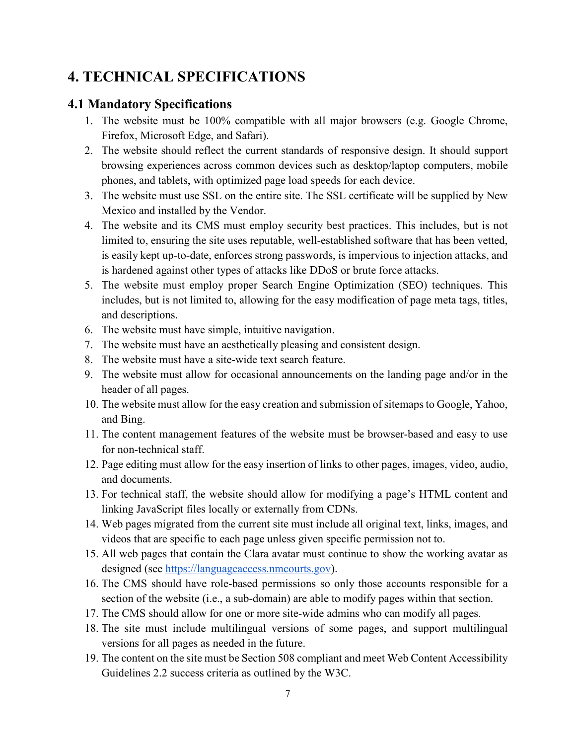## <span id="page-6-0"></span>**4. TECHNICAL SPECIFICATIONS**

### <span id="page-6-1"></span>**4.1 Mandatory Specifications**

- 1. The website must be 100% compatible with all major browsers (e.g. Google Chrome, Firefox, Microsoft Edge, and Safari).
- 2. The website should reflect the current standards of responsive design. It should support browsing experiences across common devices such as desktop/laptop computers, mobile phones, and tablets, with optimized page load speeds for each device.
- 3. The website must use SSL on the entire site. The SSL certificate will be supplied by New Mexico and installed by the Vendor.
- 4. The website and its CMS must employ security best practices. This includes, but is not limited to, ensuring the site uses reputable, well-established software that has been vetted, is easily kept up-to-date, enforces strong passwords, is impervious to injection attacks, and is hardened against other types of attacks like DDoS or brute force attacks.
- 5. The website must employ proper Search Engine Optimization (SEO) techniques. This includes, but is not limited to, allowing for the easy modification of page meta tags, titles, and descriptions.
- 6. The website must have simple, intuitive navigation.
- 7. The website must have an aesthetically pleasing and consistent design.
- 8. The website must have a site-wide text search feature.
- 9. The website must allow for occasional announcements on the landing page and/or in the header of all pages.
- 10. The website must allow for the easy creation and submission of sitemaps to Google, Yahoo, and Bing.
- 11. The content management features of the website must be browser-based and easy to use for non-technical staff.
- 12. Page editing must allow for the easy insertion of links to other pages, images, video, audio, and documents.
- 13. For technical staff, the website should allow for modifying a page's HTML content and linking JavaScript files locally or externally from CDNs.
- 14. Web pages migrated from the current site must include all original text, links, images, and videos that are specific to each page unless given specific permission not to.
- 15. All web pages that contain the Clara avatar must continue to show the working avatar as designed (see [https://languageaccess.nmcourts.gov\)](https://languageaccess.nmcourts.gov/).
- 16. The CMS should have role-based permissions so only those accounts responsible for a section of the website (i.e., a sub-domain) are able to modify pages within that section.
- 17. The CMS should allow for one or more site-wide admins who can modify all pages.
- 18. The site must include multilingual versions of some pages, and support multilingual versions for all pages as needed in the future.
- 19. The content on the site must be Section 508 compliant and meet Web Content Accessibility Guidelines 2.2 success criteria as outlined by the W3C.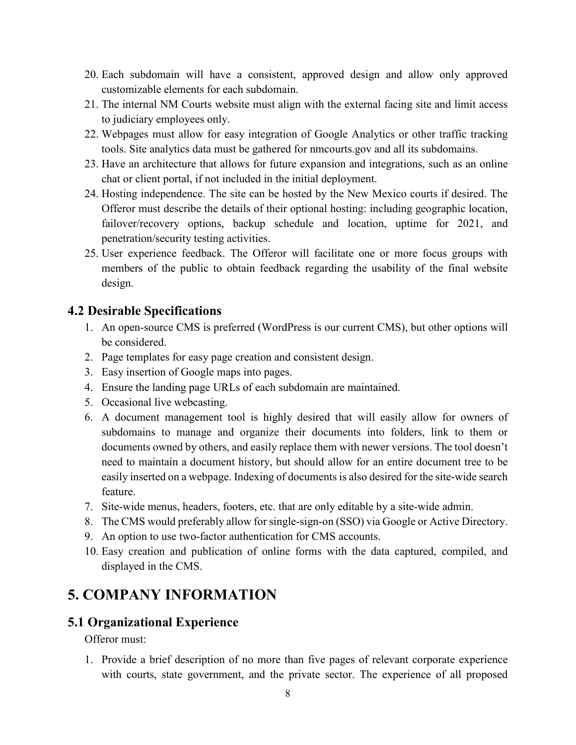- 20. Each subdomain will have a consistent, approved design and allow only approved customizable elements for each subdomain.
- 21. The internal NM Courts website must align with the external facing site and limit access to judiciary employees only.
- 22. Webpages must allow for easy integration of Google Analytics or other traffic tracking tools. Site analytics data must be gathered for nmcourts.gov and all its subdomains.
- 23. Have an architecture that allows for future expansion and integrations, such as an online chat or client portal, if not included in the initial deployment.
- 24. Hosting independence. The site can be hosted by the New Mexico courts if desired. The Offeror must describe the details of their optional hosting: including geographic location, failover/recovery options, backup schedule and location, uptime for 2021, and penetration/security testing activities.
- 25. User experience feedback. The Offeror will facilitate one or more focus groups with members of the public to obtain feedback regarding the usability of the final website design.

### <span id="page-7-0"></span>**4.2 Desirable Specifications**

- 1. An open-source CMS is preferred (WordPress is our current CMS), but other options will be considered.
- 2. Page templates for easy page creation and consistent design.
- 3. Easy insertion of Google maps into pages.
- 4. Ensure the landing page URLs of each subdomain are maintained.
- 5. Occasional live webcasting.
- 6. A document management tool is highly desired that will easily allow for owners of subdomains to manage and organize their documents into folders, link to them or documents owned by others, and easily replace them with newer versions. The tool doesn't need to maintain a document history, but should allow for an entire document tree to be easily inserted on a webpage. Indexing of documents is also desired for the site-wide search feature.
- 7. Site-wide menus, headers, footers, etc. that are only editable by a site-wide admin.
- 8. The CMS would preferably allow for single-sign-on (SSO) via Google or Active Directory.
- 9. An option to use two-factor authentication for CMS accounts.
- 10. Easy creation and publication of online forms with the data captured, compiled, and displayed in the CMS.

## <span id="page-7-1"></span>**5. COMPANY INFORMATION**

### <span id="page-7-2"></span>**5.1 Organizational Experience**

Offeror must:

1. Provide a brief description of no more than five pages of relevant corporate experience with courts, state government, and the private sector. The experience of all proposed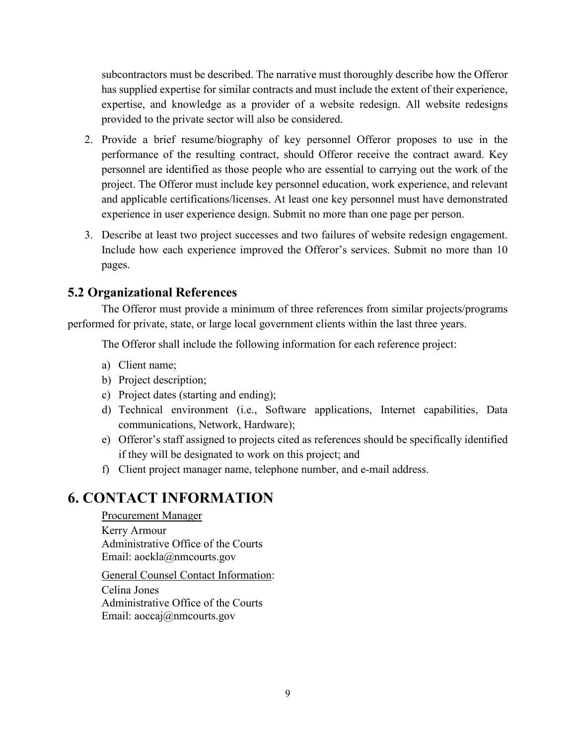subcontractors must be described. The narrative must thoroughly describe how the Offeror has supplied expertise for similar contracts and must include the extent of their experience, expertise, and knowledge as a provider of a website redesign. All website redesigns provided to the private sector will also be considered.

- 2. Provide a brief resume/biography of key personnel Offeror proposes to use in the performance of the resulting contract, should Offeror receive the contract award. Key personnel are identified as those people who are essential to carrying out the work of the project. The Offeror must include key personnel education, work experience, and relevant and applicable certifications/licenses. At least one key personnel must have demonstrated experience in user experience design. Submit no more than one page per person.
- 3. Describe at least two project successes and two failures of website redesign engagement. Include how each experience improved the Offeror's services. Submit no more than 10 pages.

### <span id="page-8-0"></span>**5.2 Organizational References**

The Offeror must provide a minimum of three references from similar projects/programs performed for private, state, or large local government clients within the last three years.

The Offeror shall include the following information for each reference project:

- a) Client name;
- b) Project description;
- c) Project dates (starting and ending);
- d) Technical environment (i.e., Software applications, Internet capabilities, Data communications, Network, Hardware);
- e) Offeror's staff assigned to projects cited as references should be specifically identified if they will be designated to work on this project; and
- f) Client project manager name, telephone number, and e-mail address.

## <span id="page-8-1"></span>**6. CONTACT INFORMATION**

#### Procurement Manager

Kerry Armour Administrative Office of the Courts Email: aockla@nmcourts.gov

General Counsel Contact Information:

Celina Jones Administrative Office of the Courts Email: aoccaj@nmcourts.gov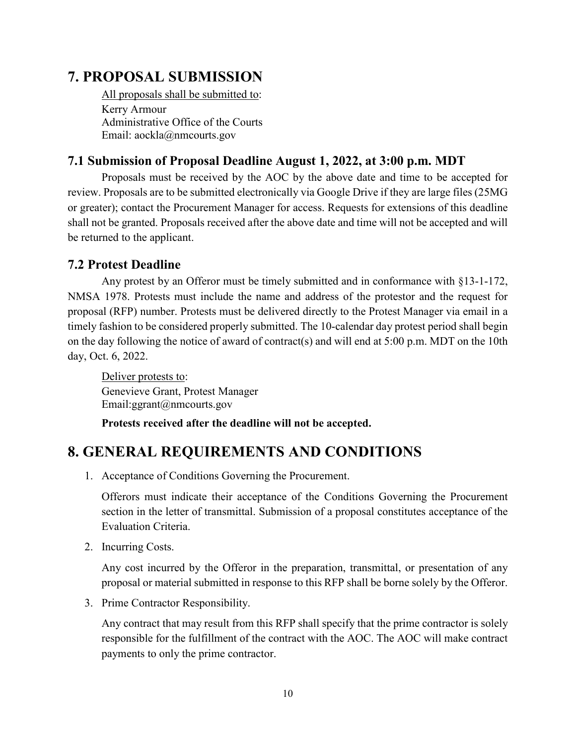## <span id="page-9-0"></span>**7. PROPOSAL SUBMISSION**

All proposals shall be submitted to: Kerry Armour Administrative Office of the Courts Email: aockla@nmcourts.gov

### <span id="page-9-1"></span>**7.1 Submission of Proposal Deadline August 1, 2022, at 3:00 p.m. MDT**

Proposals must be received by the AOC by the above date and time to be accepted for review. Proposals are to be submitted electronically via Google Drive if they are large files (25MG or greater); contact the Procurement Manager for access. Requests for extensions of this deadline shall not be granted. Proposals received after the above date and time will not be accepted and will be returned to the applicant.

### <span id="page-9-2"></span>**7.2 Protest Deadline**

Any protest by an Offeror must be timely submitted and in conformance with §13-1-172, NMSA 1978. Protests must include the name and address of the protestor and the request for proposal (RFP) number. Protests must be delivered directly to the Protest Manager via email in a timely fashion to be considered properly submitted. The 10-calendar day protest period shall begin on the day following the notice of award of contract(s) and will end at 5:00 p.m. MDT on the 10th day, Oct. 6, 2022.

Deliver protests to: Genevieve Grant, Protest Manager Email:ggrant@nmcourts.gov

**Protests received after the deadline will not be accepted.**

## <span id="page-9-3"></span>**8. GENERAL REQUIREMENTS AND CONDITIONS**

1. Acceptance of Conditions Governing the Procurement.

Offerors must indicate their acceptance of the Conditions Governing the Procurement section in the letter of transmittal. Submission of a proposal constitutes acceptance of the Evaluation Criteria.

2. Incurring Costs.

Any cost incurred by the Offeror in the preparation, transmittal, or presentation of any proposal or material submitted in response to this RFP shall be borne solely by the Offeror.

3. Prime Contractor Responsibility.

Any contract that may result from this RFP shall specify that the prime contractor is solely responsible for the fulfillment of the contract with the AOC. The AOC will make contract payments to only the prime contractor.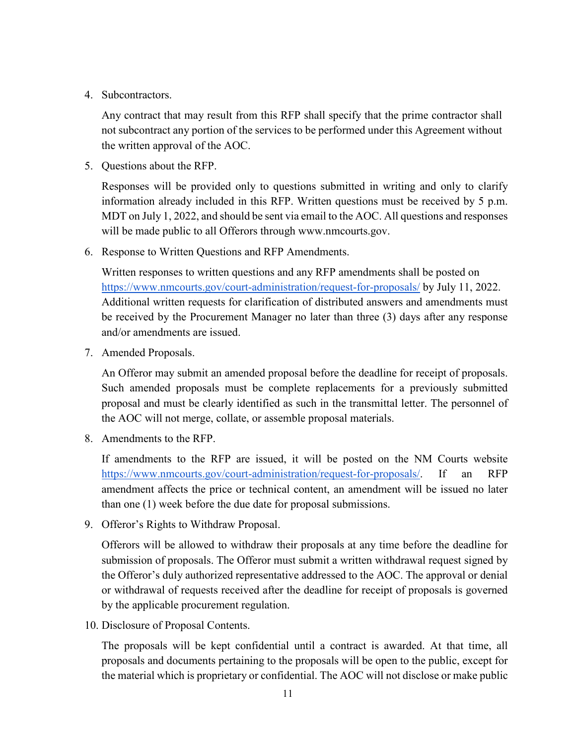4. Subcontractors.

Any contract that may result from this RFP shall specify that the prime contractor shall not subcontract any portion of the services to be performed under this Agreement without the written approval of the AOC.

5. Questions about the RFP.

Responses will be provided only to questions submitted in writing and only to clarify information already included in this RFP. Written questions must be received by 5 p.m. MDT on July 1, 2022, and should be sent via email to the AOC. All questions and responses will be made public to all Offerors through www.nmcourts.gov.

6. Response to Written Questions and RFP Amendments.

Written responses to written questions and any RFP amendments shall be posted on <https://www.nmcourts.gov/court-administration/request-for-proposals/> by July 11, 2022. Additional written requests for clarification of distributed answers and amendments must be received by the Procurement Manager no later than three (3) days after any response and/or amendments are issued.

7. Amended Proposals.

An Offeror may submit an amended proposal before the deadline for receipt of proposals. Such amended proposals must be complete replacements for a previously submitted proposal and must be clearly identified as such in the transmittal letter. The personnel of the AOC will not merge, collate, or assemble proposal materials.

8. Amendments to the RFP.

If amendments to the RFP are issued, it will be posted on the NM Courts website [https://www.nmcourts.gov/court-administration/request-for-proposals/.](https://www.nmcourts.gov/court-administration/request-for-proposals/) If an RFP amendment affects the price or technical content, an amendment will be issued no later than one (1) week before the due date for proposal submissions.

9. Offeror's Rights to Withdraw Proposal.

Offerors will be allowed to withdraw their proposals at any time before the deadline for submission of proposals. The Offeror must submit a written withdrawal request signed by the Offeror's duly authorized representative addressed to the AOC. The approval or denial or withdrawal of requests received after the deadline for receipt of proposals is governed by the applicable procurement regulation.

10. Disclosure of Proposal Contents.

The proposals will be kept confidential until a contract is awarded. At that time, all proposals and documents pertaining to the proposals will be open to the public, except for the material which is proprietary or confidential. The AOC will not disclose or make public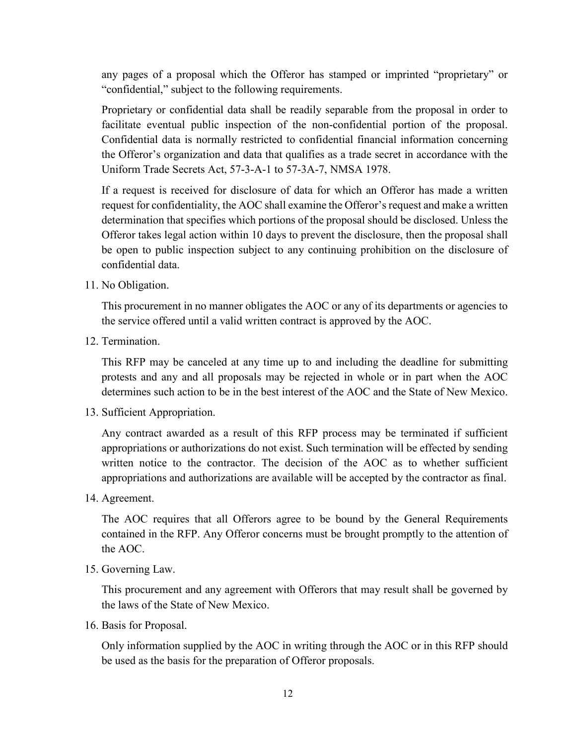any pages of a proposal which the Offeror has stamped or imprinted "proprietary" or "confidential," subject to the following requirements.

Proprietary or confidential data shall be readily separable from the proposal in order to facilitate eventual public inspection of the non-confidential portion of the proposal. Confidential data is normally restricted to confidential financial information concerning the Offeror's organization and data that qualifies as a trade secret in accordance with the Uniform Trade Secrets Act, 57-3-A-1 to 57-3A-7, NMSA 1978.

If a request is received for disclosure of data for which an Offeror has made a written request for confidentiality, the AOC shall examine the Offeror's request and make a written determination that specifies which portions of the proposal should be disclosed. Unless the Offeror takes legal action within 10 days to prevent the disclosure, then the proposal shall be open to public inspection subject to any continuing prohibition on the disclosure of confidential data.

11. No Obligation.

This procurement in no manner obligates the AOC or any of its departments or agencies to the service offered until a valid written contract is approved by the AOC.

12. Termination.

This RFP may be canceled at any time up to and including the deadline for submitting protests and any and all proposals may be rejected in whole or in part when the AOC determines such action to be in the best interest of the AOC and the State of New Mexico.

13. Sufficient Appropriation.

Any contract awarded as a result of this RFP process may be terminated if sufficient appropriations or authorizations do not exist. Such termination will be effected by sending written notice to the contractor. The decision of the AOC as to whether sufficient appropriations and authorizations are available will be accepted by the contractor as final.

14. Agreement.

The AOC requires that all Offerors agree to be bound by the General Requirements contained in the RFP. Any Offeror concerns must be brought promptly to the attention of the AOC.

15. Governing Law.

This procurement and any agreement with Offerors that may result shall be governed by the laws of the State of New Mexico.

16. Basis for Proposal.

Only information supplied by the AOC in writing through the AOC or in this RFP should be used as the basis for the preparation of Offeror proposals.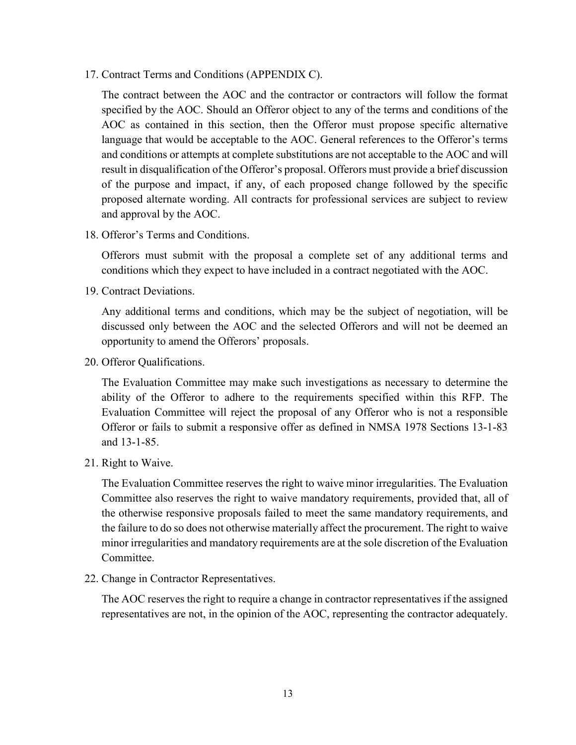17. Contract Terms and Conditions (APPENDIX C).

The contract between the AOC and the contractor or contractors will follow the format specified by the AOC. Should an Offeror object to any of the terms and conditions of the AOC as contained in this section, then the Offeror must propose specific alternative language that would be acceptable to the AOC. General references to the Offeror's terms and conditions or attempts at complete substitutions are not acceptable to the AOC and will result in disqualification of the Offeror's proposal. Offerors must provide a brief discussion of the purpose and impact, if any, of each proposed change followed by the specific proposed alternate wording. All contracts for professional services are subject to review and approval by the AOC.

18. Offeror's Terms and Conditions.

Offerors must submit with the proposal a complete set of any additional terms and conditions which they expect to have included in a contract negotiated with the AOC.

19. Contract Deviations.

Any additional terms and conditions, which may be the subject of negotiation, will be discussed only between the AOC and the selected Offerors and will not be deemed an opportunity to amend the Offerors' proposals.

20. Offeror Qualifications.

The Evaluation Committee may make such investigations as necessary to determine the ability of the Offeror to adhere to the requirements specified within this RFP. The Evaluation Committee will reject the proposal of any Offeror who is not a responsible Offeror or fails to submit a responsive offer as defined in NMSA 1978 Sections 13-1-83 and 13-1-85.

21. Right to Waive.

The Evaluation Committee reserves the right to waive minor irregularities. The Evaluation Committee also reserves the right to waive mandatory requirements, provided that, all of the otherwise responsive proposals failed to meet the same mandatory requirements, and the failure to do so does not otherwise materially affect the procurement. The right to waive minor irregularities and mandatory requirements are at the sole discretion of the Evaluation Committee.

22. Change in Contractor Representatives.

The AOC reserves the right to require a change in contractor representatives if the assigned representatives are not, in the opinion of the AOC, representing the contractor adequately.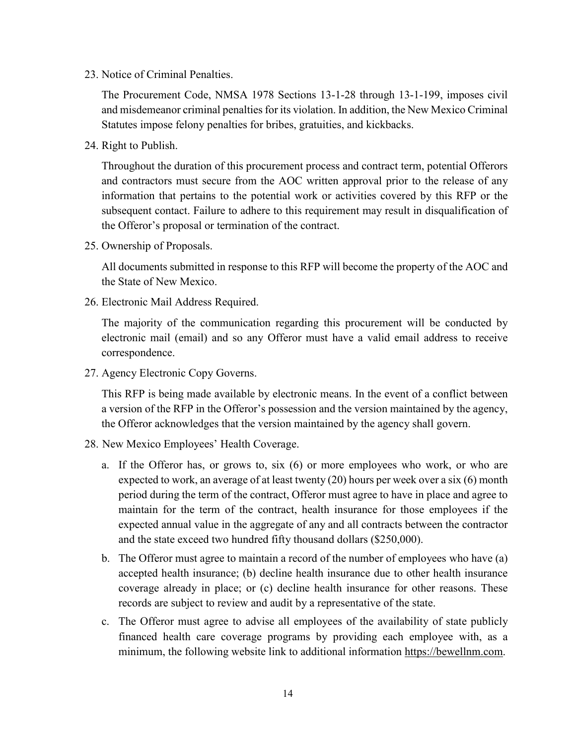23. Notice of Criminal Penalties.

The Procurement Code, NMSA 1978 Sections 13-1-28 through 13-1-199, imposes civil and misdemeanor criminal penalties for its violation. In addition, the New Mexico Criminal Statutes impose felony penalties for bribes, gratuities, and kickbacks.

24. Right to Publish.

Throughout the duration of this procurement process and contract term, potential Offerors and contractors must secure from the AOC written approval prior to the release of any information that pertains to the potential work or activities covered by this RFP or the subsequent contact. Failure to adhere to this requirement may result in disqualification of the Offeror's proposal or termination of the contract.

25. Ownership of Proposals.

All documents submitted in response to this RFP will become the property of the AOC and the State of New Mexico.

26. Electronic Mail Address Required.

The majority of the communication regarding this procurement will be conducted by electronic mail (email) and so any Offeror must have a valid email address to receive correspondence.

27. Agency Electronic Copy Governs.

This RFP is being made available by electronic means. In the event of a conflict between a version of the RFP in the Offeror's possession and the version maintained by the agency, the Offeror acknowledges that the version maintained by the agency shall govern.

- 28. New Mexico Employees' Health Coverage.
	- a. If the Offeror has, or grows to, six (6) or more employees who work, or who are expected to work, an average of at least twenty (20) hours per week over a six (6) month period during the term of the contract, Offeror must agree to have in place and agree to maintain for the term of the contract, health insurance for those employees if the expected annual value in the aggregate of any and all contracts between the contractor and the state exceed two hundred fifty thousand dollars (\$250,000).
	- b. The Offeror must agree to maintain a record of the number of employees who have (a) accepted health insurance; (b) decline health insurance due to other health insurance coverage already in place; or (c) decline health insurance for other reasons. These records are subject to review and audit by a representative of the state.
	- c. The Offeror must agree to advise all employees of the availability of state publicly financed health care coverage programs by providing each employee with, as a minimum, the following website link to additional information [https://bewellnm.com.](https://bewellnm.com/)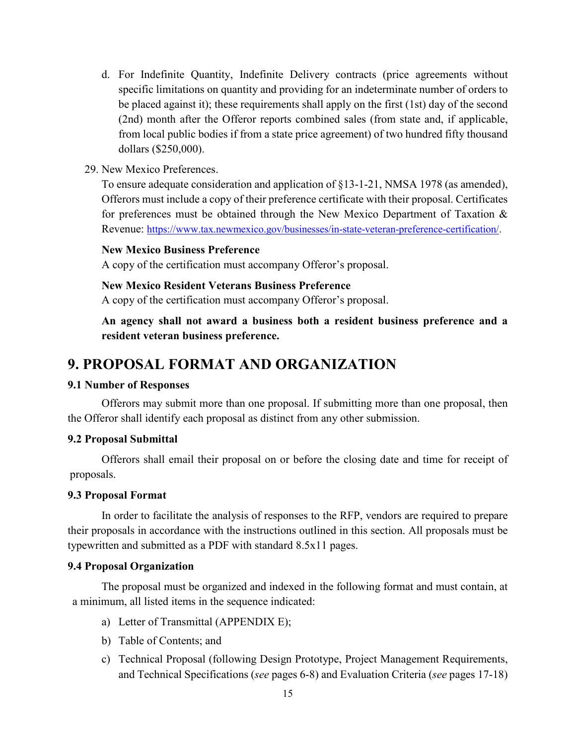- d. For Indefinite Quantity, Indefinite Delivery contracts (price agreements without specific limitations on quantity and providing for an indeterminate number of orders to be placed against it); these requirements shall apply on the first (1st) day of the second (2nd) month after the Offeror reports combined sales (from state and, if applicable, from local public bodies if from a state price agreement) of two hundred fifty thousand dollars (\$250,000).
- 29. New Mexico Preferences.

To ensure adequate consideration and application of §13-1-21, NMSA 1978 (as amended), Offerors must include a copy of their preference certificate with their proposal. Certificates for preferences must be obtained through the New Mexico Department of Taxation & Revenue: [https://www.tax.newmexico.gov/businesses/in-state-veteran-preference-certification/.](https://www.tax.newmexico.gov/businesses/in-state-veteran-preference-certification/)

#### **New Mexico Business Preference**

A copy of the certification must accompany Offeror's proposal.

#### **New Mexico Resident Veterans Business Preference**

A copy of the certification must accompany Offeror's proposal.

**An agency shall not award a business both a resident business preference and a resident veteran business preference.** 

### <span id="page-14-0"></span>**9. PROPOSAL FORMAT AND ORGANIZATION**

#### **9.1 Number of Responses**

Offerors may submit more than one proposal. If submitting more than one proposal, then the Offeror shall identify each proposal as distinct from any other submission.

#### **9.2 Proposal Submittal**

Offerors shall email their proposal on or before the closing date and time for receipt of proposals.

#### **9.3 Proposal Format**

In order to facilitate the analysis of responses to the RFP, vendors are required to prepare their proposals in accordance with the instructions outlined in this section. All proposals must be typewritten and submitted as a PDF with standard 8.5x11 pages.

#### **9.4 Proposal Organization**

The proposal must be organized and indexed in the following format and must contain, at a minimum, all listed items in the sequence indicated:

- a) Letter of Transmittal (APPENDIX E);
- b) Table of Contents; and
- c) Technical Proposal (following Design Prototype, Project Management Requirements, and Technical Specifications (*see* pages 6-8) and Evaluation Criteria (*see* pages 17-18)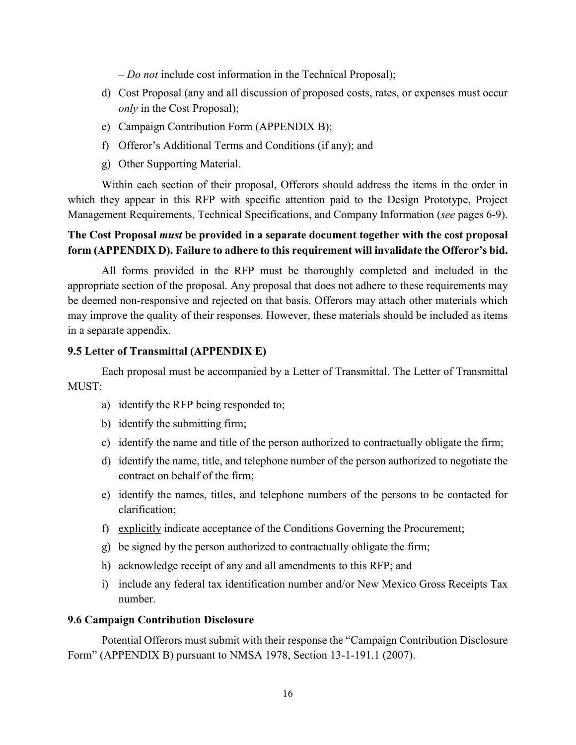– *Do not* include cost information in the Technical Proposal);

- d) Cost Proposal (any and all discussion of proposed costs, rates, or expenses must occur *only* in the Cost Proposal);
- e) Campaign Contribution Form (APPENDIX B);
- f) Offeror's Additional Terms and Conditions (if any); and
- g) Other Supporting Material.

Within each section of their proposal, Offerors should address the items in the order in which they appear in this RFP with specific attention paid to the Design Prototype, Project Management Requirements, Technical Specifications, and Company Information (*see* pages 6-9).

### **The Cost Proposal** *must* **be provided in a separate document together with the cost proposal form (APPENDIX D). Failure to adhere to this requirement will invalidate the Offeror's bid.**

All forms provided in the RFP must be thoroughly completed and included in the appropriate section of the proposal. Any proposal that does not adhere to these requirements may be deemed non-responsive and rejected on that basis. Offerors may attach other materials which may improve the quality of their responses. However, these materials should be included as items in a separate appendix.

#### **9.5 Letter of Transmittal (APPENDIX E)**

Each proposal must be accompanied by a Letter of Transmittal. The Letter of Transmittal MUST:

- a) identify the RFP being responded to;
- b) identify the submitting firm;
- c) identify the name and title of the person authorized to contractually obligate the firm;
- d) identify the name, title, and telephone number of the person authorized to negotiate the contract on behalf of the firm;
- e) identify the names, titles, and telephone numbers of the persons to be contacted for clarification;
- f) explicitly indicate acceptance of the Conditions Governing the Procurement;
- g) be signed by the person authorized to contractually obligate the firm;
- h) acknowledge receipt of any and all amendments to this RFP; and
- i) include any federal tax identification number and/or New Mexico Gross Receipts Tax number.

#### **9.6 Campaign Contribution Disclosure**

Potential Offerors must submit with their response the "Campaign Contribution Disclosure Form" (APPENDIX B) pursuant to NMSA 1978, Section 13-1-191.1 (2007).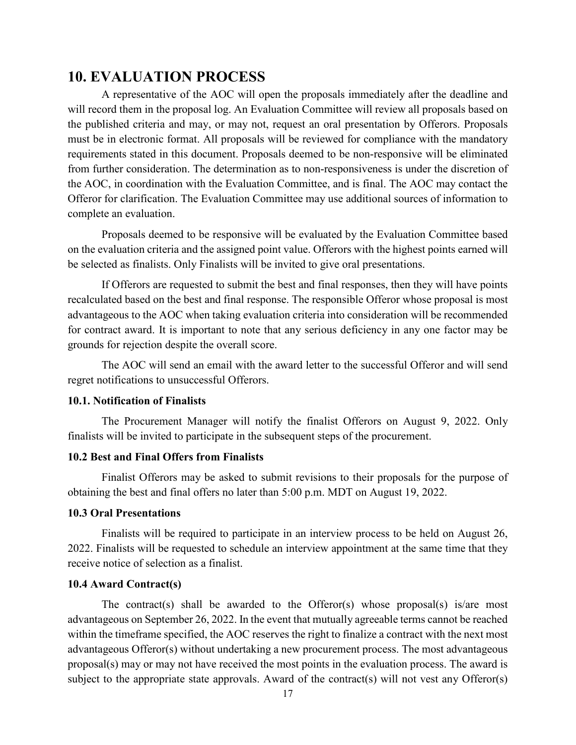### <span id="page-16-0"></span>**10. EVALUATION PROCESS**

A representative of the AOC will open the proposals immediately after the deadline and will record them in the proposal log. An Evaluation Committee will review all proposals based on the published criteria and may, or may not, request an oral presentation by Offerors. Proposals must be in electronic format. All proposals will be reviewed for compliance with the mandatory requirements stated in this document. Proposals deemed to be non-responsive will be eliminated from further consideration. The determination as to non-responsiveness is under the discretion of the AOC, in coordination with the Evaluation Committee, and is final. The AOC may contact the Offeror for clarification. The Evaluation Committee may use additional sources of information to complete an evaluation.

Proposals deemed to be responsive will be evaluated by the Evaluation Committee based on the evaluation criteria and the assigned point value. Offerors with the highest points earned will be selected as finalists. Only Finalists will be invited to give oral presentations.

If Offerors are requested to submit the best and final responses, then they will have points recalculated based on the best and final response. The responsible Offeror whose proposal is most advantageous to the AOC when taking evaluation criteria into consideration will be recommended for contract award. It is important to note that any serious deficiency in any one factor may be grounds for rejection despite the overall score.

The AOC will send an email with the award letter to the successful Offeror and will send regret notifications to unsuccessful Offerors.

#### **10.1. Notification of Finalists**

The Procurement Manager will notify the finalist Offerors on August 9, 2022. Only finalists will be invited to participate in the subsequent steps of the procurement.

#### **10.2 Best and Final Offers from Finalists**

Finalist Offerors may be asked to submit revisions to their proposals for the purpose of obtaining the best and final offers no later than 5:00 p.m. MDT on August 19, 2022.

#### **10.3 Oral Presentations**

Finalists will be required to participate in an interview process to be held on August 26, 2022. Finalists will be requested to schedule an interview appointment at the same time that they receive notice of selection as a finalist.

#### **10.4 Award Contract(s)**

The contract(s) shall be awarded to the Offeror(s) whose proposal(s) is/are most advantageous on September 26, 2022. In the event that mutually agreeable terms cannot be reached within the timeframe specified, the AOC reserves the right to finalize a contract with the next most advantageous Offeror(s) without undertaking a new procurement process. The most advantageous proposal(s) may or may not have received the most points in the evaluation process. The award is subject to the appropriate state approvals. Award of the contract(s) will not vest any Offeror(s)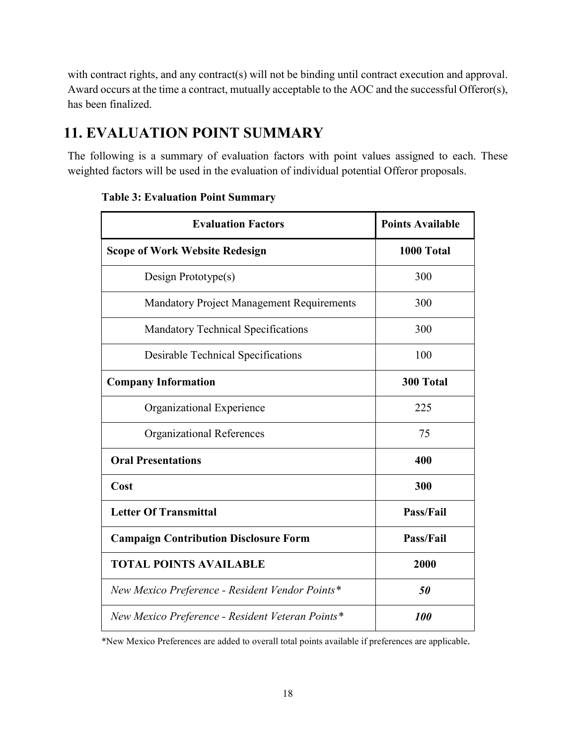with contract rights, and any contract(s) will not be binding until contract execution and approval. Award occurs at the time a contract, mutually acceptable to the AOC and the successful Offeror(s), has been finalized.

## <span id="page-17-0"></span>**11. EVALUATION POINT SUMMARY**

The following is a summary of evaluation factors with point values assigned to each. These weighted factors will be used in the evaluation of individual potential Offeror proposals.

| <b>Evaluation Factors</b>                        | <b>Points Available</b> |
|--------------------------------------------------|-------------------------|
| <b>Scope of Work Website Redesign</b>            | 1000 Total              |
| Design Prototype $(s)$                           | 300                     |
| <b>Mandatory Project Management Requirements</b> | 300                     |
| <b>Mandatory Technical Specifications</b>        | 300                     |
| <b>Desirable Technical Specifications</b>        | 100                     |
| <b>Company Information</b>                       | 300 Total               |
| Organizational Experience                        | 225                     |
| <b>Organizational References</b>                 | 75                      |
| <b>Oral Presentations</b>                        | 400                     |
| Cost                                             | 300                     |
| <b>Letter Of Transmittal</b>                     | <b>Pass/Fail</b>        |
| <b>Campaign Contribution Disclosure Form</b>     | <b>Pass/Fail</b>        |
| <b>TOTAL POINTS AVAILABLE</b>                    | 2000                    |
| New Mexico Preference - Resident Vendor Points*  | 50                      |
| New Mexico Preference - Resident Veteran Points* | <b>100</b>              |

#### **Table 3: Evaluation Point Summary**

\*New Mexico Preferences are added to overall total points available if preferences are applicable.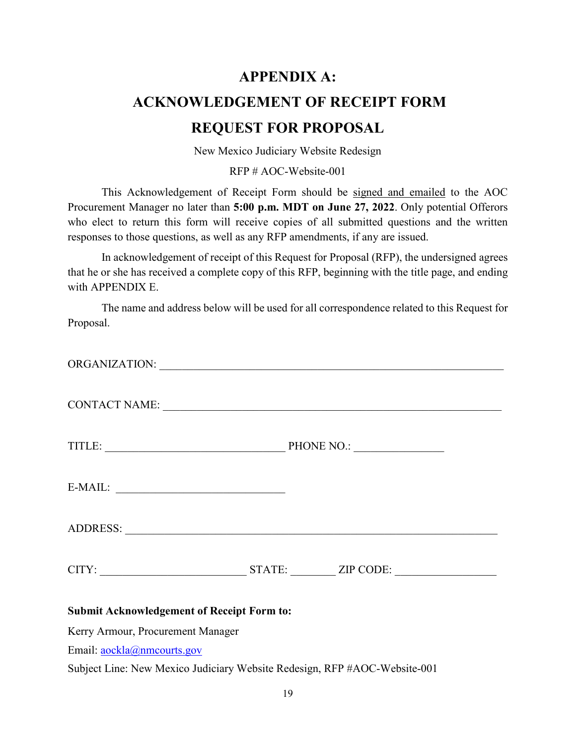# <span id="page-18-1"></span><span id="page-18-0"></span>**APPENDIX A: ACKNOWLEDGEMENT OF RECEIPT FORM REQUEST FOR PROPOSAL**

New Mexico Judiciary Website Redesign

RFP # AOC-Website-001

This Acknowledgement of Receipt Form should be signed and emailed to the AOC Procurement Manager no later than **5:00 p.m. MDT on June 27, 2022**. Only potential Offerors who elect to return this form will receive copies of all submitted questions and the written responses to those questions, as well as any RFP amendments, if any are issued.

In acknowledgement of receipt of this Request for Proposal (RFP), the undersigned agrees that he or she has received a complete copy of this RFP, beginning with the title page, and ending with APPENDIX E.

The name and address below will be used for all correspondence related to this Request for Proposal.

|                                                   | CONTACT NAME: University of the contract of the contract of the contract of the contract of the contract of the contract of the contract of the contract of the contract of the contract of the contract of the contract of th |  |  |
|---------------------------------------------------|--------------------------------------------------------------------------------------------------------------------------------------------------------------------------------------------------------------------------------|--|--|
|                                                   |                                                                                                                                                                                                                                |  |  |
| $E-MAIL:$                                         |                                                                                                                                                                                                                                |  |  |
|                                                   |                                                                                                                                                                                                                                |  |  |
|                                                   | CITY: STATE: ZIP CODE:                                                                                                                                                                                                         |  |  |
| <b>Submit Acknowledgement of Receipt Form to:</b> |                                                                                                                                                                                                                                |  |  |
| Kerry Armour, Procurement Manager                 |                                                                                                                                                                                                                                |  |  |

Email: [aockla@nmcourts.gov](mailto:aockla@nmcourts.gov)

Subject Line: New Mexico Judiciary Website Redesign, RFP #AOC-Website-001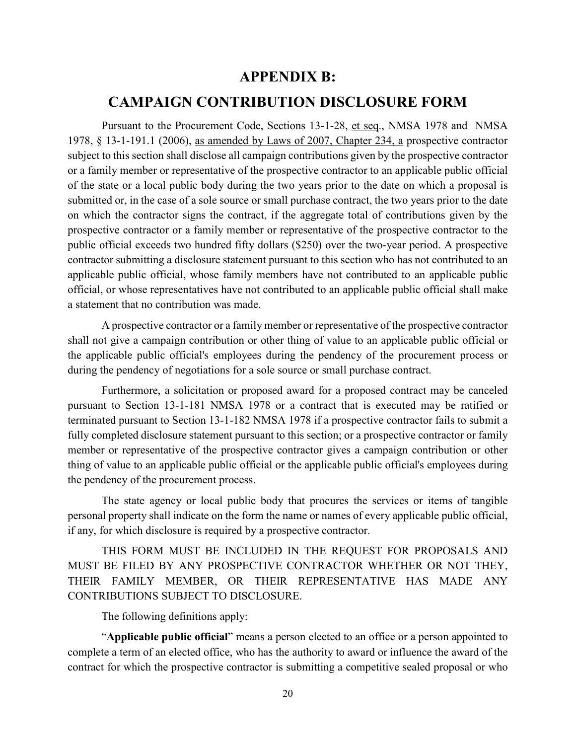### **APPENDIX B:**

### <span id="page-19-0"></span>**CAMPAIGN CONTRIBUTION DISCLOSURE FORM**

<span id="page-19-1"></span>Pursuant to the Procurement Code, Sections 13-1-28, et seq., NMSA 1978 and NMSA 1978, § 13-1-191.1 (2006), as amended by Laws of 2007, Chapter 234, a prospective contractor subject to this section shall disclose all campaign contributions given by the prospective contractor or a family member or representative of the prospective contractor to an applicable public official of the state or a local public body during the two years prior to the date on which a proposal is submitted or, in the case of a sole source or small purchase contract, the two years prior to the date on which the contractor signs the contract, if the aggregate total of contributions given by the prospective contractor or a family member or representative of the prospective contractor to the public official exceeds two hundred fifty dollars (\$250) over the two-year period. A prospective contractor submitting a disclosure statement pursuant to this section who has not contributed to an applicable public official, whose family members have not contributed to an applicable public official, or whose representatives have not contributed to an applicable public official shall make a statement that no contribution was made.

A prospective contractor or a family member or representative of the prospective contractor shall not give a campaign contribution or other thing of value to an applicable public official or the applicable public official's employees during the pendency of the procurement process or during the pendency of negotiations for a sole source or small purchase contract.

Furthermore, a solicitation or proposed award for a proposed contract may be canceled pursuant to Section 13-1-181 NMSA 1978 or a contract that is executed may be ratified or terminated pursuant to Section 13-1-182 NMSA 1978 if a prospective contractor fails to submit a fully completed disclosure statement pursuant to this section; or a prospective contractor or family member or representative of the prospective contractor gives a campaign contribution or other thing of value to an applicable public official or the applicable public official's employees during the pendency of the procurement process.

The state agency or local public body that procures the services or items of tangible personal property shall indicate on the form the name or names of every applicable public official, if any, for which disclosure is required by a prospective contractor.

THIS FORM MUST BE INCLUDED IN THE REQUEST FOR PROPOSALS AND MUST BE FILED BY ANY PROSPECTIVE CONTRACTOR WHETHER OR NOT THEY, THEIR FAMILY MEMBER, OR THEIR REPRESENTATIVE HAS MADE ANY CONTRIBUTIONS SUBJECT TO DISCLOSURE.

The following definitions apply:

"**Applicable public official**" means a person elected to an office or a person appointed to complete a term of an elected office, who has the authority to award or influence the award of the contract for which the prospective contractor is submitting a competitive sealed proposal or who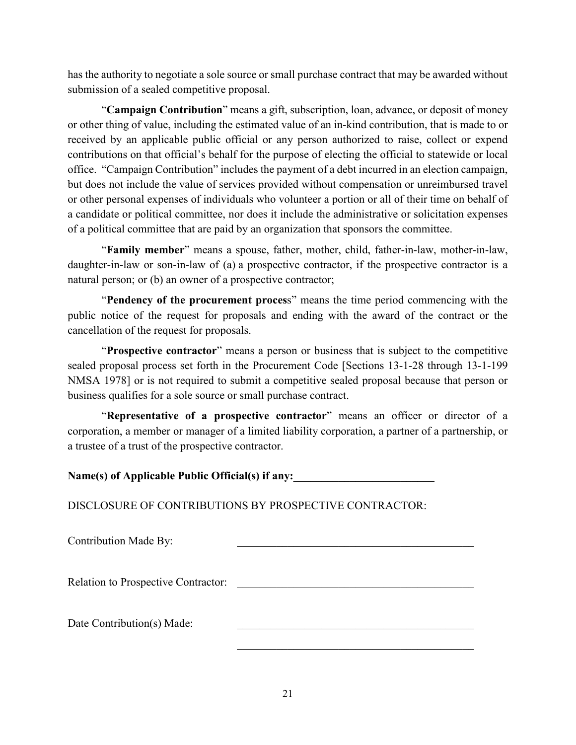has the authority to negotiate a sole source or small purchase contract that may be awarded without submission of a sealed competitive proposal.

"**Campaign Contribution**" means a gift, subscription, loan, advance, or deposit of money or other thing of value, including the estimated value of an in-kind contribution, that is made to or received by an applicable public official or any person authorized to raise, collect or expend contributions on that official's behalf for the purpose of electing the official to statewide or local office. "Campaign Contribution" includes the payment of a debt incurred in an election campaign, but does not include the value of services provided without compensation or unreimbursed travel or other personal expenses of individuals who volunteer a portion or all of their time on behalf of a candidate or political committee, nor does it include the administrative or solicitation expenses of a political committee that are paid by an organization that sponsors the committee.

"**Family member**" means a spouse, father, mother, child, father-in-law, mother-in-law, daughter-in-law or son-in-law of (a) a prospective contractor, if the prospective contractor is a natural person; or (b) an owner of a prospective contractor;

"**Pendency of the procurement proces**s" means the time period commencing with the public notice of the request for proposals and ending with the award of the contract or the cancellation of the request for proposals.

"**Prospective contractor**" means a person or business that is subject to the competitive sealed proposal process set forth in the Procurement Code [Sections 13-1-28 through 13-1-199 NMSA 1978] or is not required to submit a competitive sealed proposal because that person or business qualifies for a sole source or small purchase contract.

"**Representative of a prospective contractor**" means an officer or director of a corporation, a member or manager of a limited liability corporation, a partner of a partnership, or a trustee of a trust of the prospective contractor.

Name(s) of Applicable Public Official(s) if any:

DISCLOSURE OF CONTRIBUTIONS BY PROSPECTIVE CONTRACTOR:

| Contribution Made By:               |  |
|-------------------------------------|--|
|                                     |  |
| Relation to Prospective Contractor: |  |
|                                     |  |
| Date Contribution(s) Made:          |  |
|                                     |  |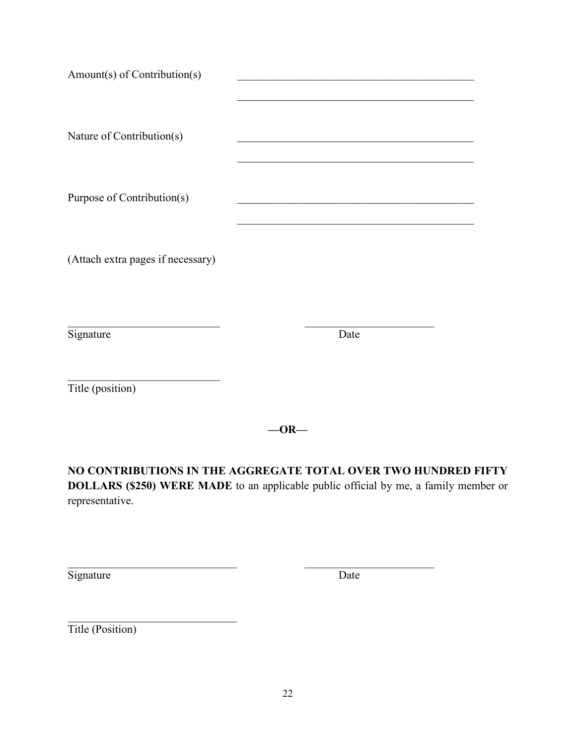| Amount(s) of Contribution(s)      |      |      |  |
|-----------------------------------|------|------|--|
| Nature of Contribution(s)         |      |      |  |
| Purpose of Contribution(s)        |      |      |  |
| (Attach extra pages if necessary) |      |      |  |
| Signature                         |      | Date |  |
| Title (position)                  |      |      |  |
|                                   | -OR- |      |  |

**NO CONTRIBUTIONS IN THE AGGREGATE TOTAL OVER TWO HUNDRED FIFTY DOLLARS (\$250) WERE MADE** to an applicable public official by me, a family member or representative.

 $\mathcal{L}_\text{max}$  , and the contribution of the contribution of  $\mathcal{L}_\text{max}$  , and the contribution of  $\mathcal{L}_\text{max}$ 

Signature Date

<span id="page-21-0"></span>Title (Position)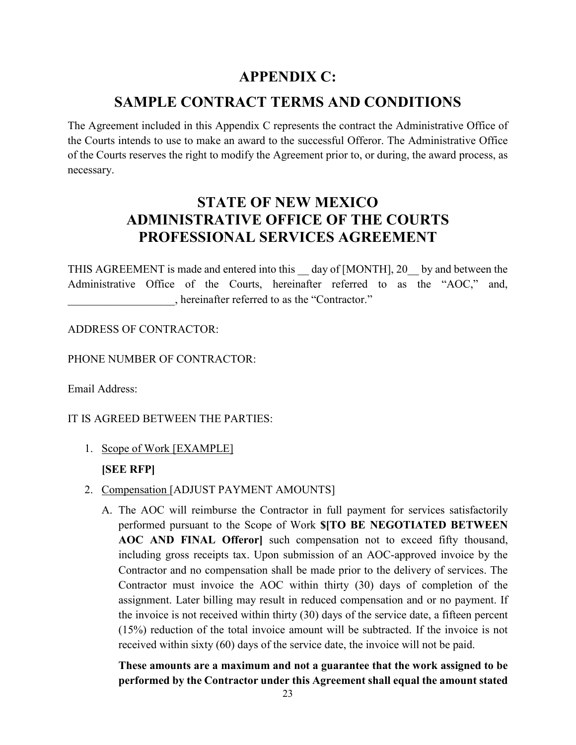## **APPENDIX C:**

## **SAMPLE CONTRACT TERMS AND CONDITIONS**

<span id="page-22-0"></span>The Agreement included in this Appendix C represents the contract the Administrative Office of the Courts intends to use to make an award to the successful Offeror. The Administrative Office of the Courts reserves the right to modify the Agreement prior to, or during, the award process, as necessary.

## **STATE OF NEW MEXICO ADMINISTRATIVE OFFICE OF THE COURTS PROFESSIONAL SERVICES AGREEMENT**

THIS AGREEMENT is made and entered into this day of [MONTH], 20 by and between the Administrative Office of the Courts, hereinafter referred to as the "AOC," and, \_\_\_\_\_\_\_\_\_\_\_\_\_\_\_\_\_\_\_, hereinafter referred to as the "Contractor."

ADDRESS OF CONTRACTOR:

PHONE NUMBER OF CONTRACTOR:

Email Address:

IT IS AGREED BETWEEN THE PARTIES:

1. Scope of Work [EXAMPLE]

### **[SEE RFP]**

- 2. Compensation [ADJUST PAYMENT AMOUNTS]
	- A. The AOC will reimburse the Contractor in full payment for services satisfactorily performed pursuant to the Scope of Work **\$[TO BE NEGOTIATED BETWEEN AOC AND FINAL Offeror]** such compensation not to exceed fifty thousand, including gross receipts tax. Upon submission of an AOC-approved invoice by the Contractor and no compensation shall be made prior to the delivery of services. The Contractor must invoice the AOC within thirty (30) days of completion of the assignment. Later billing may result in reduced compensation and or no payment. If the invoice is not received within thirty (30) days of the service date, a fifteen percent (15%) reduction of the total invoice amount will be subtracted. If the invoice is not received within sixty (60) days of the service date, the invoice will not be paid.

**These amounts are a maximum and not a guarantee that the work assigned to be performed by the Contractor under this Agreement shall equal the amount stated**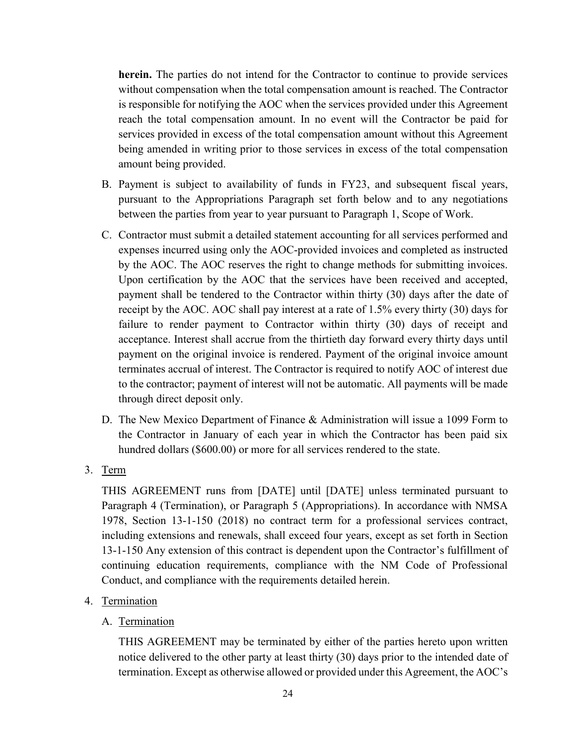**herein.** The parties do not intend for the Contractor to continue to provide services without compensation when the total compensation amount is reached. The Contractor is responsible for notifying the AOC when the services provided under this Agreement reach the total compensation amount. In no event will the Contractor be paid for services provided in excess of the total compensation amount without this Agreement being amended in writing prior to those services in excess of the total compensation amount being provided.

- B. Payment is subject to availability of funds in FY23, and subsequent fiscal years, pursuant to the Appropriations Paragraph set forth below and to any negotiations between the parties from year to year pursuant to Paragraph 1, Scope of Work.
- C. Contractor must submit a detailed statement accounting for all services performed and expenses incurred using only the AOC-provided invoices and completed as instructed by the AOC. The AOC reserves the right to change methods for submitting invoices. Upon certification by the AOC that the services have been received and accepted, payment shall be tendered to the Contractor within thirty (30) days after the date of receipt by the AOC. AOC shall pay interest at a rate of 1.5% every thirty (30) days for failure to render payment to Contractor within thirty (30) days of receipt and acceptance. Interest shall accrue from the thirtieth day forward every thirty days until payment on the original invoice is rendered. Payment of the original invoice amount terminates accrual of interest. The Contractor is required to notify AOC of interest due to the contractor; payment of interest will not be automatic. All payments will be made through direct deposit only.
- D. The New Mexico Department of Finance & Administration will issue a 1099 Form to the Contractor in January of each year in which the Contractor has been paid six hundred dollars (\$600.00) or more for all services rendered to the state.
- 3. Term

THIS AGREEMENT runs from [DATE] until [DATE] unless terminated pursuant to Paragraph 4 (Termination), or Paragraph 5 (Appropriations). In accordance with NMSA 1978, Section 13-1-150 (2018) no contract term for a professional services contract, including extensions and renewals, shall exceed four years, except as set forth in Section 13-1-150 Any extension of this contract is dependent upon the Contractor's fulfillment of continuing education requirements, compliance with the NM Code of Professional Conduct, and compliance with the requirements detailed herein.

- 4. Termination
	- A. Termination

THIS AGREEMENT may be terminated by either of the parties hereto upon written notice delivered to the other party at least thirty (30) days prior to the intended date of termination. Except as otherwise allowed or provided under this Agreement, the AOC's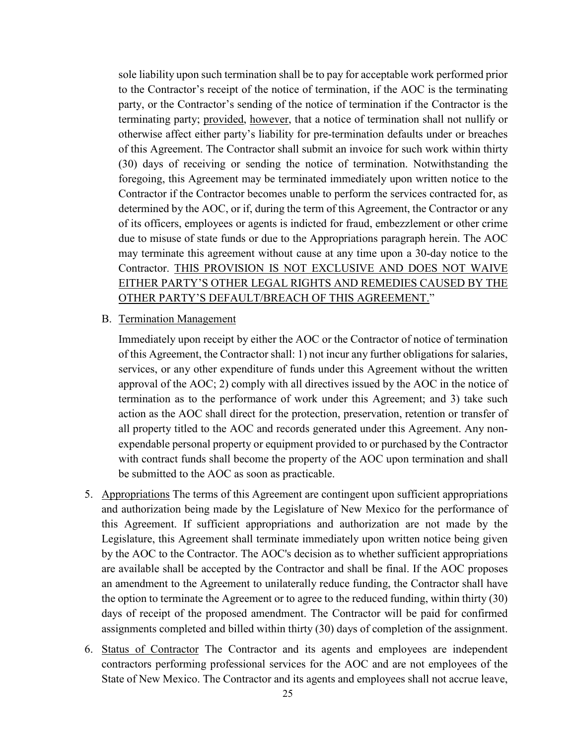sole liability upon such termination shall be to pay for acceptable work performed prior to the Contractor's receipt of the notice of termination, if the AOC is the terminating party, or the Contractor's sending of the notice of termination if the Contractor is the terminating party; provided, however, that a notice of termination shall not nullify or otherwise affect either party's liability for pre-termination defaults under or breaches of this Agreement. The Contractor shall submit an invoice for such work within thirty (30) days of receiving or sending the notice of termination. Notwithstanding the foregoing, this Agreement may be terminated immediately upon written notice to the Contractor if the Contractor becomes unable to perform the services contracted for, as determined by the AOC, or if, during the term of this Agreement, the Contractor or any of its officers, employees or agents is indicted for fraud, embezzlement or other crime due to misuse of state funds or due to the Appropriations paragraph herein. The AOC may terminate this agreement without cause at any time upon a 30-day notice to the Contractor. THIS PROVISION IS NOT EXCLUSIVE AND DOES NOT WAIVE EITHER PARTY'S OTHER LEGAL RIGHTS AND REMEDIES CAUSED BY THE OTHER PARTY'S DEFAULT/BREACH OF THIS AGREEMENT."

B. Termination Management

Immediately upon receipt by either the AOC or the Contractor of notice of termination of this Agreement, the Contractor shall: 1) not incur any further obligations for salaries, services, or any other expenditure of funds under this Agreement without the written approval of the AOC; 2) comply with all directives issued by the AOC in the notice of termination as to the performance of work under this Agreement; and 3) take such action as the AOC shall direct for the protection, preservation, retention or transfer of all property titled to the AOC and records generated under this Agreement. Any nonexpendable personal property or equipment provided to or purchased by the Contractor with contract funds shall become the property of the AOC upon termination and shall be submitted to the AOC as soon as practicable.

- 5. Appropriations The terms of this Agreement are contingent upon sufficient appropriations and authorization being made by the Legislature of New Mexico for the performance of this Agreement. If sufficient appropriations and authorization are not made by the Legislature, this Agreement shall terminate immediately upon written notice being given by the AOC to the Contractor. The AOC's decision as to whether sufficient appropriations are available shall be accepted by the Contractor and shall be final. If the AOC proposes an amendment to the Agreement to unilaterally reduce funding, the Contractor shall have the option to terminate the Agreement or to agree to the reduced funding, within thirty (30) days of receipt of the proposed amendment. The Contractor will be paid for confirmed assignments completed and billed within thirty (30) days of completion of the assignment.
- 6. Status of Contractor The Contractor and its agents and employees are independent contractors performing professional services for the AOC and are not employees of the State of New Mexico. The Contractor and its agents and employees shall not accrue leave,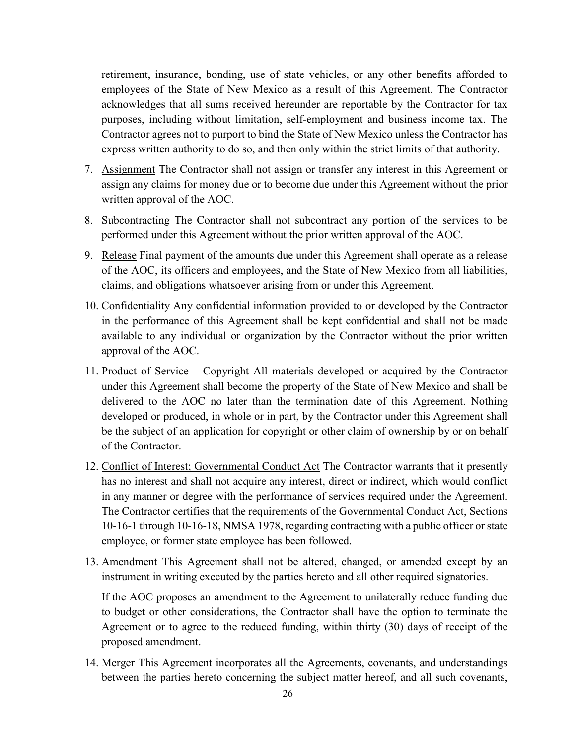retirement, insurance, bonding, use of state vehicles, or any other benefits afforded to employees of the State of New Mexico as a result of this Agreement. The Contractor acknowledges that all sums received hereunder are reportable by the Contractor for tax purposes, including without limitation, self-employment and business income tax. The Contractor agrees not to purport to bind the State of New Mexico unless the Contractor has express written authority to do so, and then only within the strict limits of that authority.

- 7. Assignment The Contractor shall not assign or transfer any interest in this Agreement or assign any claims for money due or to become due under this Agreement without the prior written approval of the AOC.
- 8. Subcontracting The Contractor shall not subcontract any portion of the services to be performed under this Agreement without the prior written approval of the AOC.
- 9. Release Final payment of the amounts due under this Agreement shall operate as a release of the AOC, its officers and employees, and the State of New Mexico from all liabilities, claims, and obligations whatsoever arising from or under this Agreement.
- 10. Confidentiality Any confidential information provided to or developed by the Contractor in the performance of this Agreement shall be kept confidential and shall not be made available to any individual or organization by the Contractor without the prior written approval of the AOC.
- 11. Product of Service Copyright All materials developed or acquired by the Contractor under this Agreement shall become the property of the State of New Mexico and shall be delivered to the AOC no later than the termination date of this Agreement. Nothing developed or produced, in whole or in part, by the Contractor under this Agreement shall be the subject of an application for copyright or other claim of ownership by or on behalf of the Contractor.
- 12. Conflict of Interest; Governmental Conduct Act The Contractor warrants that it presently has no interest and shall not acquire any interest, direct or indirect, which would conflict in any manner or degree with the performance of services required under the Agreement. The Contractor certifies that the requirements of the Governmental Conduct Act, Sections 10-16-1 through 10-16-18, NMSA 1978, regarding contracting with a public officer or state employee, or former state employee has been followed.
- 13. Amendment This Agreement shall not be altered, changed, or amended except by an instrument in writing executed by the parties hereto and all other required signatories.

If the AOC proposes an amendment to the Agreement to unilaterally reduce funding due to budget or other considerations, the Contractor shall have the option to terminate the Agreement or to agree to the reduced funding, within thirty (30) days of receipt of the proposed amendment.

14. Merger This Agreement incorporates all the Agreements, covenants, and understandings between the parties hereto concerning the subject matter hereof, and all such covenants,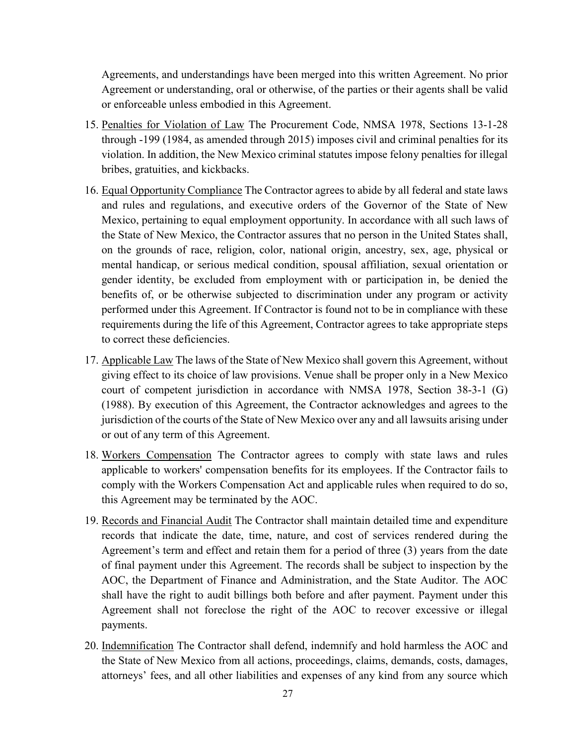Agreements, and understandings have been merged into this written Agreement. No prior Agreement or understanding, oral or otherwise, of the parties or their agents shall be valid or enforceable unless embodied in this Agreement.

- 15. Penalties for Violation of Law The Procurement Code, NMSA 1978, Sections 13-1-28 through -199 (1984, as amended through 2015) imposes civil and criminal penalties for its violation. In addition, the New Mexico criminal statutes impose felony penalties for illegal bribes, gratuities, and kickbacks.
- 16. Equal Opportunity Compliance The Contractor agrees to abide by all federal and state laws and rules and regulations, and executive orders of the Governor of the State of New Mexico, pertaining to equal employment opportunity. In accordance with all such laws of the State of New Mexico, the Contractor assures that no person in the United States shall, on the grounds of race, religion, color, national origin, ancestry, sex, age, physical or mental handicap, or serious medical condition, spousal affiliation, sexual orientation or gender identity, be excluded from employment with or participation in, be denied the benefits of, or be otherwise subjected to discrimination under any program or activity performed under this Agreement. If Contractor is found not to be in compliance with these requirements during the life of this Agreement, Contractor agrees to take appropriate steps to correct these deficiencies.
- 17. Applicable Law The laws of the State of New Mexico shall govern this Agreement, without giving effect to its choice of law provisions. Venue shall be proper only in a New Mexico court of competent jurisdiction in accordance with NMSA 1978, Section 38-3-1 (G) (1988). By execution of this Agreement, the Contractor acknowledges and agrees to the jurisdiction of the courts of the State of New Mexico over any and all lawsuits arising under or out of any term of this Agreement.
- 18. Workers Compensation The Contractor agrees to comply with state laws and rules applicable to workers' compensation benefits for its employees. If the Contractor fails to comply with the Workers Compensation Act and applicable rules when required to do so, this Agreement may be terminated by the AOC.
- 19. Records and Financial Audit The Contractor shall maintain detailed time and expenditure records that indicate the date, time, nature, and cost of services rendered during the Agreement's term and effect and retain them for a period of three (3) years from the date of final payment under this Agreement. The records shall be subject to inspection by the AOC, the Department of Finance and Administration, and the State Auditor. The AOC shall have the right to audit billings both before and after payment. Payment under this Agreement shall not foreclose the right of the AOC to recover excessive or illegal payments.
- 20. Indemnification The Contractor shall defend, indemnify and hold harmless the AOC and the State of New Mexico from all actions, proceedings, claims, demands, costs, damages, attorneys' fees, and all other liabilities and expenses of any kind from any source which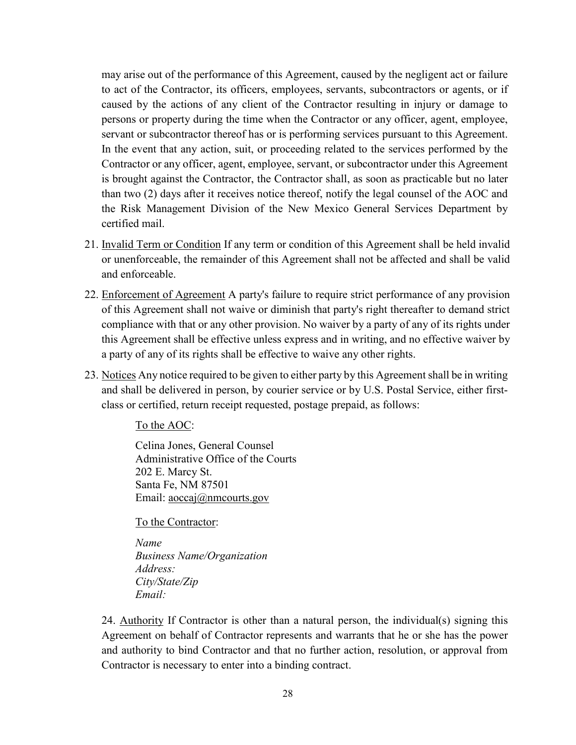may arise out of the performance of this Agreement, caused by the negligent act or failure to act of the Contractor, its officers, employees, servants, subcontractors or agents, or if caused by the actions of any client of the Contractor resulting in injury or damage to persons or property during the time when the Contractor or any officer, agent, employee, servant or subcontractor thereof has or is performing services pursuant to this Agreement. In the event that any action, suit, or proceeding related to the services performed by the Contractor or any officer, agent, employee, servant, or subcontractor under this Agreement is brought against the Contractor, the Contractor shall, as soon as practicable but no later than two (2) days after it receives notice thereof, notify the legal counsel of the AOC and the Risk Management Division of the New Mexico General Services Department by certified mail.

- 21. Invalid Term or Condition If any term or condition of this Agreement shall be held invalid or unenforceable, the remainder of this Agreement shall not be affected and shall be valid and enforceable.
- 22. Enforcement of Agreement A party's failure to require strict performance of any provision of this Agreement shall not waive or diminish that party's right thereafter to demand strict compliance with that or any other provision. No waiver by a party of any of its rights under this Agreement shall be effective unless express and in writing, and no effective waiver by a party of any of its rights shall be effective to waive any other rights.
- 23. Notices Any notice required to be given to either party by this Agreement shall be in writing and shall be delivered in person, by courier service or by U.S. Postal Service, either firstclass or certified, return receipt requested, postage prepaid, as follows:

To the AOC:

 Celina Jones, General Counsel Administrative Office of the Courts 202 E. Marcy St. Santa Fe, NM 87501 Email: aoccaj@nmcourts.gov

To the Contractor:

*Name Business Name/Organization Address: City/State/Zip Email:* 

24. Authority If Contractor is other than a natural person, the individual(s) signing this Agreement on behalf of Contractor represents and warrants that he or she has the power and authority to bind Contractor and that no further action, resolution, or approval from Contractor is necessary to enter into a binding contract.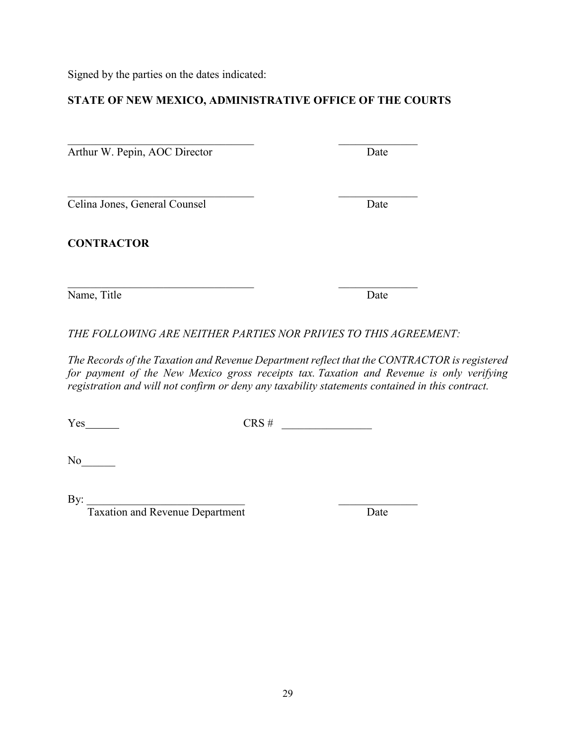Signed by the parties on the dates indicated:

### **STATE OF NEW MEXICO, ADMINISTRATIVE OFFICE OF THE COURTS**

Arthur W. Pepin, AOC Director Date

 $\mathcal{L}_\text{max}$  , and the contract of the contract of the contract of the contract of the contract of the contract of the contract of the contract of the contract of the contract of the contract of the contract of the contr Celina Jones, General Counsel Date

**CONTRACTOR**

Name, Title Date

 $\mathcal{L}_\text{max}$  , and the contract of the contract of the contract of the contract of the contract of the contract of the contract of the contract of the contract of the contract of the contract of the contract of the contr

*THE FOLLOWING ARE NEITHER PARTIES NOR PRIVIES TO THIS AGREEMENT:*

*The Records of the Taxation and Revenue Department reflect that the CONTRACTOR is registered for payment of the New Mexico gross receipts tax. Taxation and Revenue is only verifying registration and will not confirm or deny any taxability statements contained in this contract.*

Yes CRS # \_\_\_\_\_\_\_\_\_\_\_\_\_\_\_\_

 $No$ 

 $\text{By:}\_\_\_\_\_\_\_$ 

Taxation and Revenue Department Taxation and Revenue Department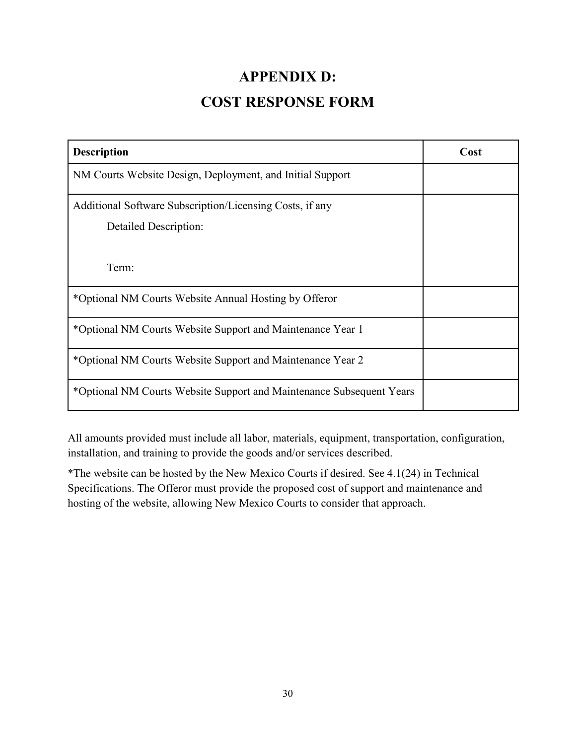## **APPENDIX D:**

## **COST RESPONSE FORM**

<span id="page-29-1"></span><span id="page-29-0"></span>

| <b>Description</b>                                                   | Cost |
|----------------------------------------------------------------------|------|
| NM Courts Website Design, Deployment, and Initial Support            |      |
| Additional Software Subscription/Licensing Costs, if any             |      |
| <b>Detailed Description:</b>                                         |      |
|                                                                      |      |
| Term:                                                                |      |
| *Optional NM Courts Website Annual Hosting by Offeror                |      |
| *Optional NM Courts Website Support and Maintenance Year 1           |      |
| *Optional NM Courts Website Support and Maintenance Year 2           |      |
| *Optional NM Courts Website Support and Maintenance Subsequent Years |      |

All amounts provided must include all labor, materials, equipment, transportation, configuration, installation, and training to provide the goods and/or services described.

\*The website can be hosted by the New Mexico Courts if desired. See 4.1(24) in Technical Specifications. The Offeror must provide the proposed cost of support and maintenance and hosting of the website, allowing New Mexico Courts to consider that approach.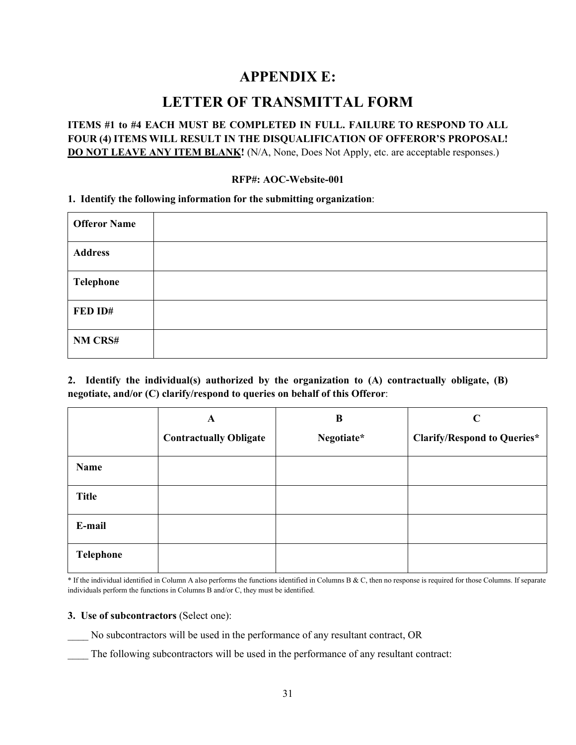### **APPENDIX E:**

### **LETTER OF TRANSMITTAL FORM**

#### <span id="page-30-1"></span><span id="page-30-0"></span>**ITEMS #1 to #4 EACH MUST BE COMPLETED IN FULL. FAILURE TO RESPOND TO ALL FOUR (4) ITEMS WILL RESULT IN THE DISQUALIFICATION OF OFFEROR'S PROPOSAL! DO NOT LEAVE ANY ITEM BLANK!** (N/A, None, Does Not Apply, etc. are acceptable responses.)

#### **RFP#: AOC-Website-001**

#### **1. Identify the following information for the submitting organization**:

| <b>Offeror Name</b> |  |
|---------------------|--|
| <b>Address</b>      |  |
| Telephone           |  |
| FED ID#             |  |
| NM CRS#             |  |

**2. Identify the individual(s) authorized by the organization to (A) contractually obligate, (B) negotiate, and/or (C) clarify/respond to queries on behalf of this Offeror**:

|                  | $\mathbf{A}$                  | B          | $\mathbf C$                        |
|------------------|-------------------------------|------------|------------------------------------|
|                  | <b>Contractually Obligate</b> | Negotiate* | <b>Clarify/Respond to Queries*</b> |
| Name             |                               |            |                                    |
| <b>Title</b>     |                               |            |                                    |
| E-mail           |                               |            |                                    |
| <b>Telephone</b> |                               |            |                                    |

\* If the individual identified in Column A also performs the functions identified in Columns B & C, then no response is required for those Columns. If separate individuals perform the functions in Columns B and/or C, they must be identified.

#### **3. Use of subcontractors** (Select one):

- \_\_\_\_ No subcontractors will be used in the performance of any resultant contract, OR
- The following subcontractors will be used in the performance of any resultant contract: